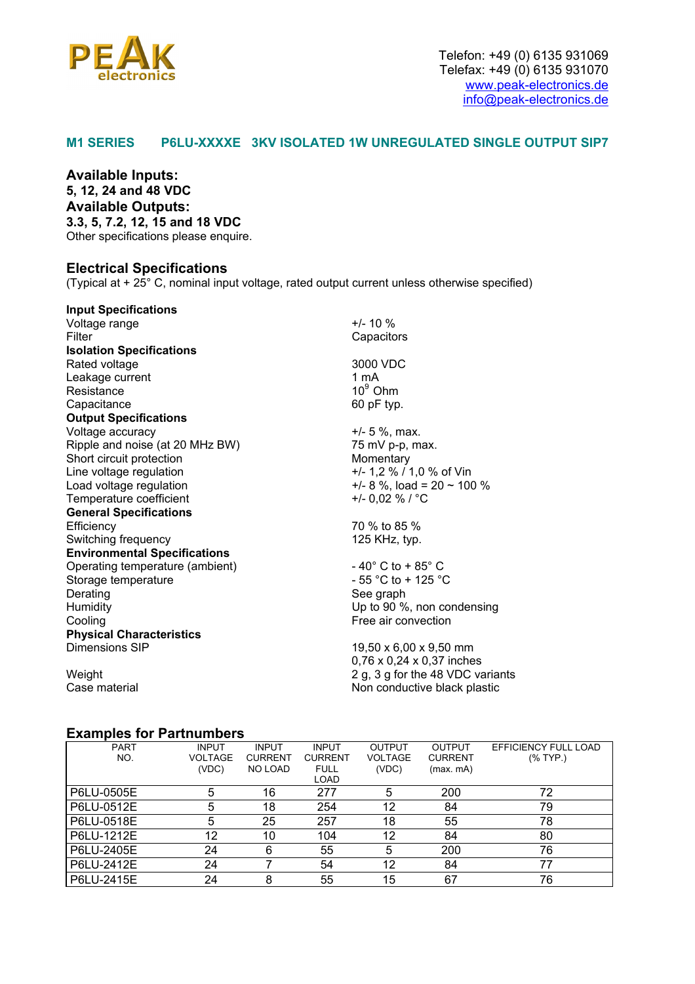

### **M1 SERIES P6LU-XXXXE 3KV ISOLATED 1W UNREGULATED SINGLE OUTPUT SIP7**

**Available Inputs: 5, 12, 24 and 48 VDC Available Outputs: 3.3, 5, 7.2, 12, 15 and 18 VDC**  Other specifications please enquire.

#### **Electrical Specifications**

(Typical at + 25° C, nominal input voltage, rated output current unless otherwise specified)

| <b>Input Specifications</b>         |                                      |  |  |
|-------------------------------------|--------------------------------------|--|--|
| Voltage range                       | $+/- 10 \%$                          |  |  |
| Filter                              | Capacitors                           |  |  |
| <b>Isolation Specifications</b>     |                                      |  |  |
| Rated voltage                       | 3000 VDC                             |  |  |
| Leakage current                     | 1 mA                                 |  |  |
| Resistance                          | $10^9$ Ohm                           |  |  |
| Capacitance                         | 60 pF typ.                           |  |  |
| <b>Output Specifications</b>        |                                      |  |  |
| Voltage accuracy                    | $+/- 5 %$ , max.                     |  |  |
| Ripple and noise (at 20 MHz BW)     | 75 mV p-p, max.                      |  |  |
| Short circuit protection            | Momentary                            |  |  |
| Line voltage regulation             | +/- 1,2 % / 1,0 % of Vin             |  |  |
| Load voltage regulation             | $+/-$ 8 %, load = 20 ~ 100 %         |  |  |
| Temperature coefficient             | +/- 0,02 % / $^{\circ}$ C            |  |  |
| <b>General Specifications</b>       |                                      |  |  |
| Efficiency                          | 70 % to 85 %                         |  |  |
| Switching frequency                 | 125 KHz, typ.                        |  |  |
| <b>Environmental Specifications</b> |                                      |  |  |
| Operating temperature (ambient)     | $-40^{\circ}$ C to + 85 $^{\circ}$ C |  |  |
| Storage temperature                 | $-55$ °C to + 125 °C                 |  |  |
| Derating                            | See graph                            |  |  |
| Humidity                            | Up to 90 %, non condensing           |  |  |
| Cooling                             | Free air convection                  |  |  |
| <b>Physical Characteristics</b>     |                                      |  |  |
| Dimensions SIP                      | 19,50 x 6,00 x 9,50 mm               |  |  |
|                                     | 0,76 x 0,24 x 0,37 inches            |  |  |
| Weight                              | 2 g, 3 g for the 48 VDC variants     |  |  |
| Case material                       | Non conductive black plastic         |  |  |

#### **Examples for Partnumbers**

| <b>PART</b> | <b>INPUT</b> | <b>INPUT</b>   | <b>INPUT</b>   | <b>OUTPUT</b>  | <b>OUTPUT</b>  | EFFICIENCY FULL LOAD |  |  |
|-------------|--------------|----------------|----------------|----------------|----------------|----------------------|--|--|
| NO.         | VOLTAGE      | <b>CURRENT</b> | <b>CURRENT</b> | <b>VOLTAGE</b> | <b>CURRENT</b> | $(%$ TYP.)           |  |  |
|             | (VDC)        | <b>NO LOAD</b> | <b>FULL</b>    | (VDC)          | (max. mA)      |                      |  |  |
|             |              |                | LOAD           |                |                |                      |  |  |
| P6LU-0505E  | 5            | 16             | 277            | 5              | 200            | 72                   |  |  |
| P6LU-0512E  | 5            | 18             | 254            | 12             | 84             | 79                   |  |  |
| P6LU-0518E  | 5            | 25             | 257            | 18             | 55             | 78                   |  |  |
| P6LU-1212E  | 12           | 10             | 104            | 12             | 84             | 80                   |  |  |
| P6LU-2405E  | 24           | 6              | 55             | 5              | 200            | 76                   |  |  |
| P6LU-2412E  | 24           |                | 54             | 12             | 84             | 77                   |  |  |
| P6LU-2415E  | 24           | 8              | 55             | 15             | 67             | 76                   |  |  |